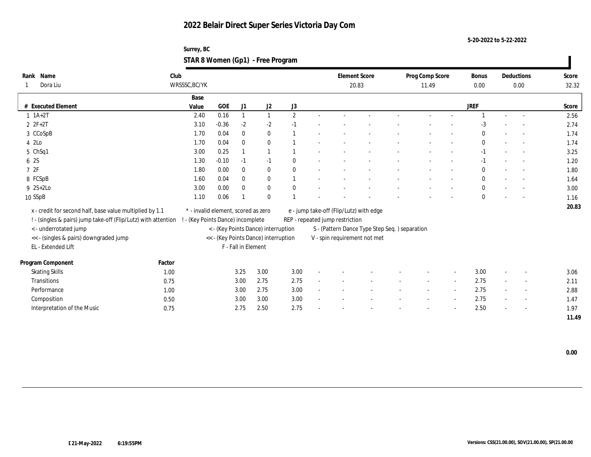**5-20-2022 to 5-22-2022**

| Surrey, BC                        |  |
|-----------------------------------|--|
| STAR 8 Women (Gp1) - Free Program |  |

| Rank Name<br>Dora Liu                                                                                                                               | Club   | WRSSSC, BC/YK                                                            |         |                     |                                      |              | <b>Element Score</b><br>20.83                                                  |                                         | Prog Comp Score<br>11.49 |  | Bonus<br>0.00 | Deductions<br>0.00 |  | Score<br>32.32           |       |
|-----------------------------------------------------------------------------------------------------------------------------------------------------|--------|--------------------------------------------------------------------------|---------|---------------------|--------------------------------------|--------------|--------------------------------------------------------------------------------|-----------------------------------------|--------------------------|--|---------------|--------------------|--|--------------------------|-------|
|                                                                                                                                                     |        | Base                                                                     |         |                     |                                      |              |                                                                                |                                         |                          |  |               |                    |  |                          |       |
| # Executed Element                                                                                                                                  |        | Value                                                                    | GOE     | J1                  | J <sub>2</sub>                       | J3           |                                                                                |                                         |                          |  |               | <b>JREF</b>        |  |                          | Score |
| $1 \t1A+2T$                                                                                                                                         |        | 2.40                                                                     | 0.16    | $\mathbf{1}$        | $\mathbf{1}$                         | $\mathbf{2}$ |                                                                                |                                         |                          |  |               |                    |  | $\overline{\phantom{a}}$ | 2.56  |
| $2 ZF+2T$                                                                                                                                           |        | 3.10                                                                     | $-0.36$ | $-2$                | $-2$                                 | $-1$         |                                                                                |                                         |                          |  |               | $-3$               |  |                          | 2.74  |
| 3 CCoSpB                                                                                                                                            |        | 1.70                                                                     | 0.04    | $\bf{0}$            | $\bf{0}$                             |              |                                                                                |                                         |                          |  |               | $\Omega$           |  | $\sim$                   | 1.74  |
| 4 2Lo                                                                                                                                               |        | 1.70                                                                     | 0.04    | $\mathbf{0}$        | $\bf{0}$                             |              |                                                                                |                                         |                          |  |               | $\mathbf{0}$       |  | $\sim$                   | 1.74  |
| 5 ChSq1                                                                                                                                             |        | 3.00                                                                     | 0.25    |                     |                                      |              |                                                                                |                                         |                          |  |               | $-1$               |  |                          | 3.25  |
| 6 2S                                                                                                                                                |        | 1.30                                                                     | $-0.10$ | $-1$                | $-1$                                 | $\theta$     |                                                                                |                                         |                          |  |               | $-1$               |  | $\overline{\phantom{a}}$ | 1.20  |
| 72F                                                                                                                                                 |        | 1.80                                                                     | 0.00    | $\mathbf{0}$        | $\bf{0}$                             | $\mathbf{0}$ |                                                                                |                                         |                          |  |               | $\mathbf{0}$       |  | $\overline{a}$           | 1.80  |
| 8 FCSpB                                                                                                                                             |        | 1.60                                                                     | 0.04    | $\mathbf{0}$        | $\bf{0}$                             |              |                                                                                |                                         |                          |  |               | $\mathbf{0}$       |  |                          | 1.64  |
| $9 \t2S+2Lo$                                                                                                                                        |        | 3.00                                                                     | 0.00    | $\mathbf{0}$        | $\bf{0}$                             | $\mathbf{0}$ |                                                                                |                                         |                          |  |               | $\mathbf{0}$       |  | $\overline{\phantom{a}}$ | 3.00  |
| 10 SSpB                                                                                                                                             |        | 1.10                                                                     | 0.06    |                     | $\mathbf{0}$                         |              |                                                                                |                                         |                          |  |               | $\theta$           |  |                          | 1.16  |
| x - credit for second half, base value multiplied by 1.1<br>! - (singles & pairs) jump take-off (Flip/Lutz) with attention<br>< - underrotated jump |        | * - invalid element, scored as zero<br>! - (Key Points Dance) incomplete |         |                     | < - (Key Points Dance) interruption  |              | REP - repeated jump restriction                                                | e - jump take-off (Flip/Lutz) with edge |                          |  |               |                    |  |                          | 20.83 |
| << - (singles & pairs) downgraded jump                                                                                                              |        |                                                                          |         |                     | << - (Key Points Dance) interruption |              | S - (Pattern Dance Type Step Seq. ) separation<br>V - spin requirement not met |                                         |                          |  |               |                    |  |                          |       |
| EL - Extended Lift                                                                                                                                  |        |                                                                          |         | F - Fall in Element |                                      |              |                                                                                |                                         |                          |  |               |                    |  |                          |       |
| Program Component                                                                                                                                   | Factor |                                                                          |         |                     |                                      |              |                                                                                |                                         |                          |  |               |                    |  |                          |       |
| <b>Skating Skills</b>                                                                                                                               | 1.00   |                                                                          |         | 3.25                | 3.00                                 | 3.00         |                                                                                |                                         |                          |  | $\sim$        | 3.00               |  | $\overline{\phantom{a}}$ | 3.06  |
| Transitions                                                                                                                                         | 0.75   |                                                                          |         | 3.00                | 2.75                                 | 2.75         |                                                                                |                                         |                          |  |               | 2.75               |  | $\overline{\phantom{a}}$ | 2.11  |
| Performance                                                                                                                                         | 1.00   |                                                                          |         | 3.00                | 2.75                                 | 3.00         |                                                                                |                                         |                          |  | $\sim$        | 2.75               |  | $\sim$                   | 2.88  |
| Composition                                                                                                                                         | 0.50   |                                                                          |         | 3.00                | 3.00                                 | 3.00         |                                                                                |                                         |                          |  | $\sim$        | 2.75               |  | $\overline{\phantom{a}}$ | 1.47  |
| Interpretation of the Music                                                                                                                         | 0.75   |                                                                          |         | 2.75                | 2.50                                 | 2.75         |                                                                                |                                         |                          |  |               | 2.50               |  | $\overline{\phantom{a}}$ | 1.97  |
|                                                                                                                                                     |        |                                                                          |         |                     |                                      |              |                                                                                |                                         |                          |  |               |                    |  |                          | 11.49 |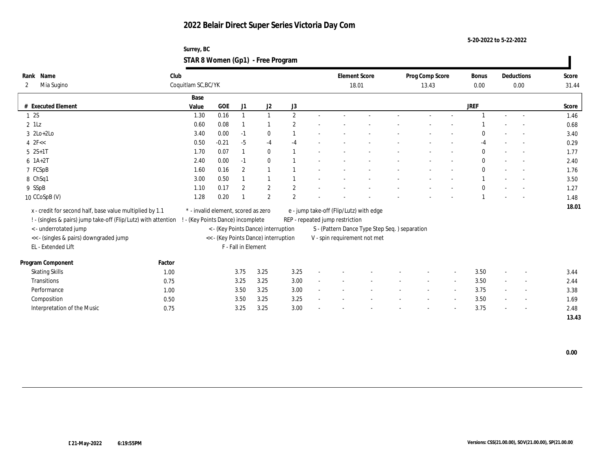**5-20-2022 to 5-22-2022**

| Surrey, BC                        |  |
|-----------------------------------|--|
| STAR 8 Women (Gp1) - Free Program |  |

| Name<br>Rank                                                   | Club   |                                     |         |                     |                                      |                |        |                                         | <b>Element Score</b>                           | Prog Comp Score |                          | <b>Bonus</b> |                          | Deductions               | Score |
|----------------------------------------------------------------|--------|-------------------------------------|---------|---------------------|--------------------------------------|----------------|--------|-----------------------------------------|------------------------------------------------|-----------------|--------------------------|--------------|--------------------------|--------------------------|-------|
| Mia Sugino<br>2                                                |        | Coquitlam SC, BC/YK                 |         |                     |                                      |                |        |                                         | 18.01                                          | 13.43           |                          | 0.00         |                          | 0.00                     | 31.44 |
|                                                                |        | Base                                |         |                     |                                      |                |        |                                         |                                                |                 |                          |              |                          |                          |       |
| # Executed Element                                             |        | Value                               | GOE     | J1                  | J2                                   | J3             |        |                                         |                                                |                 |                          | <b>JREF</b>  |                          |                          | Score |
| 12S                                                            |        | 1.30                                | 0.16    |                     | $\overline{1}$                       | $\overline{2}$ |        |                                         |                                                |                 |                          |              |                          |                          | 1.46  |
| $2$ 1Lz                                                        |        | 0.60                                | 0.08    |                     |                                      | $\overline{2}$ |        |                                         |                                                |                 |                          |              |                          |                          | 0.68  |
| $3 \text{2Lo}+2\text{Lo}$                                      |        | 3.40                                | 0.00    | $-1$                | $\bf{0}$                             |                |        |                                         |                                                |                 |                          | $\Omega$     |                          |                          | 3.40  |
| $4$ $2F <$                                                     |        | 0.50                                | $-0.21$ | $-5$                | $-4$                                 | $-4$           |        |                                         |                                                |                 |                          | $-4$         |                          |                          | 0.29  |
| $5 \t 2S+1T$                                                   |        | 1.70                                | 0.07    |                     | $\mathbf{0}$                         |                |        |                                         |                                                |                 |                          | $\mathbf{0}$ |                          |                          | 1.77  |
| $6 \; 1A+2T$                                                   |        | 2.40                                | 0.00    | $-1$                | $\bf{0}$                             |                |        |                                         |                                                |                 |                          | $\bf{0}$     |                          |                          | 2.40  |
| 7 FCSpB                                                        |        | 1.60                                | 0.16    | $\boldsymbol{2}$    | $\overline{1}$                       |                |        |                                         |                                                |                 |                          | $\mathbf{0}$ |                          |                          | 1.76  |
| 8 ChSq1                                                        |        | 3.00                                | 0.50    |                     | $\mathbf{1}$                         |                |        |                                         |                                                |                 |                          |              |                          |                          | 3.50  |
| 9 SSpB                                                         |        | 1.10                                | 0.17    | $\boldsymbol{2}$    | $\mathbf{2}$                         | $\overline{2}$ |        |                                         |                                                |                 |                          | $\bf{0}$     |                          |                          | 1.27  |
| 10 CCoSpB (V)                                                  |        | 1.28                                | 0.20    |                     | $\overline{2}$                       | $\overline{2}$ |        |                                         |                                                |                 |                          |              |                          |                          | 1.48  |
| x - credit for second half, base value multiplied by 1.1       |        | * - invalid element, scored as zero |         |                     |                                      |                |        | e - jump take-off (Flip/Lutz) with edge |                                                |                 |                          |              |                          |                          | 18.01 |
| ! - (singles & pairs) jump take-off (Flip/Lutz) with attention |        | ! - (Key Points Dance) incomplete   |         |                     |                                      |                |        | REP - repeated jump restriction         |                                                |                 |                          |              |                          |                          |       |
| < - underrotated jump                                          |        |                                     |         |                     | < - (Key Points Dance) interruption  |                |        |                                         | S - (Pattern Dance Type Step Seq. ) separation |                 |                          |              |                          |                          |       |
| << - (singles & pairs) downgraded jump                         |        |                                     |         |                     | << - (Key Points Dance) interruption |                |        |                                         | V - spin requirement not met                   |                 |                          |              |                          |                          |       |
| EL - Extended Lift                                             |        |                                     |         | F - Fall in Element |                                      |                |        |                                         |                                                |                 |                          |              |                          |                          |       |
|                                                                |        |                                     |         |                     |                                      |                |        |                                         |                                                |                 |                          |              |                          |                          |       |
| Program Component                                              | Factor |                                     |         |                     |                                      |                |        |                                         |                                                |                 |                          |              |                          |                          |       |
| <b>Skating Skills</b>                                          | 1.00   |                                     |         | 3.75                | 3.25                                 | 3.25           |        |                                         |                                                |                 |                          | 3.50         | $\overline{\phantom{a}}$ | $\overline{\phantom{a}}$ | 3.44  |
| Transitions                                                    | 0.75   |                                     |         | 3.25                | 3.25                                 | 3.00           |        |                                         |                                                |                 |                          | 3.50         |                          | $\sim$                   | 2.44  |
| Performance                                                    | 1.00   |                                     |         | 3.50                | 3.25                                 | 3.00           | $\sim$ |                                         |                                                |                 | $\overline{\phantom{a}}$ | 3.75         |                          | $\sim$                   | 3.38  |
| Composition                                                    | 0.50   |                                     |         | 3.50                | 3.25                                 | 3.25           |        |                                         |                                                |                 |                          | 3.50         |                          | $\sim$                   | 1.69  |
| Interpretation of the Music                                    | 0.75   |                                     |         | 3.25                | 3.25                                 | 3.00           |        |                                         |                                                |                 |                          | 3.75         |                          | $\overline{\phantom{a}}$ | 2.48  |
|                                                                |        |                                     |         |                     |                                      |                |        |                                         |                                                |                 |                          |              |                          |                          | 13.43 |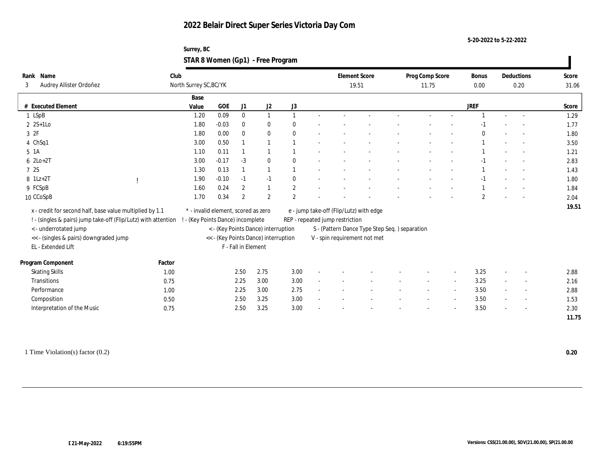**5-20-2022 to 5-22-2022**

| Surrey, BC                        |  |
|-----------------------------------|--|
| STAR 8 Women (Gp1) - Free Program |  |

| Name<br>Rank                                                   | Club                              |                                     |                     |                                      |                |                                         | <b>Element Score</b>                          | Prog Comp Score |        | Bonus        |                          | Deductions               | Score |
|----------------------------------------------------------------|-----------------------------------|-------------------------------------|---------------------|--------------------------------------|----------------|-----------------------------------------|-----------------------------------------------|-----------------|--------|--------------|--------------------------|--------------------------|-------|
| Audrey Allister Ordoñez<br>3                                   | North Surrey SC, BC/YK            |                                     |                     |                                      |                |                                         | 19.51                                         | 11.75           |        | 0.00         |                          | 0.20                     | 31.06 |
|                                                                | Base                              |                                     |                     |                                      |                |                                         |                                               |                 |        |              |                          |                          |       |
| # Executed Element                                             | Value                             | $GOE$                               | J1                  | J2                                   | J3             |                                         |                                               |                 |        | <b>JREF</b>  |                          |                          | Score |
| 1 LSpB                                                         | 1.20                              | 0.09                                | $\bf{0}$            | $\mathbf{1}$                         | $\mathbf{1}$   |                                         |                                               |                 |        |              |                          |                          | 1.29  |
| $2$ 2S+1Lo                                                     | 1.80                              | $-0.03$                             | $\bf{0}$            | $\bf{0}$                             | $\theta$       |                                         |                                               |                 |        |              |                          |                          | 1.77  |
| 3 2F                                                           | 1.80                              | 0.00                                | $\bf{0}$            | $\bf{0}$                             | $\mathbf{0}$   |                                         |                                               |                 |        | $\Omega$     |                          |                          | 1.80  |
| 4 ChSq1                                                        | 3.00                              | 0.50                                |                     |                                      |                |                                         |                                               |                 |        |              |                          |                          | 3.50  |
| $5 \text{ A}$                                                  | 1.10                              | 0.11                                |                     |                                      |                |                                         |                                               |                 |        |              |                          |                          | 1.21  |
| $6$ $2Lo+2T$                                                   | 3.00                              | $-0.17$                             | $-3$                | $\mathbf{0}$                         | $\theta$       |                                         |                                               |                 |        | $-1$         |                          |                          | 2.83  |
| 7 2S                                                           | 1.30                              | 0.13                                |                     |                                      |                |                                         |                                               |                 |        |              |                          |                          | 1.43  |
| $8 \text{ } 1Lz + 2T$                                          | 1.90                              | $-0.10$                             | $-1$                | $-1$                                 | $\bf{0}$       |                                         |                                               |                 |        | $-1$         |                          |                          | 1.80  |
| 9 FCSpB                                                        | 1.60                              | 0.24                                | 2                   |                                      | $\mathbf{2}$   |                                         |                                               |                 |        |              |                          |                          | 1.84  |
| 10 CCoSpB                                                      | 1.70                              | 0.34                                | 2                   | $\overline{2}$                       | $\overline{2}$ |                                         |                                               |                 |        | $\mathbf{2}$ |                          |                          | 2.04  |
| x - credit for second half, base value multiplied by 1.1       |                                   | * - invalid element, scored as zero |                     |                                      |                | e - jump take-off (Flip/Lutz) with edge |                                               |                 |        |              |                          |                          | 19.51 |
| ! - (singles & pairs) jump take-off (Flip/Lutz) with attention | ! - (Key Points Dance) incomplete |                                     |                     |                                      |                | REP - repeated jump restriction         |                                               |                 |        |              |                          |                          |       |
| <- underrotated jump                                           |                                   |                                     |                     | < - (Key Points Dance) interruption  |                |                                         | S - (Pattern Dance Type Step Seq.) separation |                 |        |              |                          |                          |       |
| << - (singles & pairs) downgraded jump                         |                                   |                                     |                     | << - (Key Points Dance) interruption |                |                                         | V - spin requirement not met                  |                 |        |              |                          |                          |       |
| EL - Extended Lift                                             |                                   |                                     | F - Fall in Element |                                      |                |                                         |                                               |                 |        |              |                          |                          |       |
|                                                                |                                   |                                     |                     |                                      |                |                                         |                                               |                 |        |              |                          |                          |       |
| Program Component                                              | Factor                            |                                     |                     |                                      |                |                                         |                                               |                 |        |              |                          |                          |       |
| <b>Skating Skills</b>                                          | 1.00                              |                                     | 2.50                | 2.75                                 | 3.00           |                                         |                                               |                 |        | 3.25         | $\overline{\phantom{a}}$ | $\sim$                   | 2.88  |
| Transitions                                                    | 0.75                              |                                     | 2.25                | 3.00                                 | 3.00           |                                         |                                               |                 |        | 3.25         |                          |                          | 2.16  |
| Performance                                                    | 1.00                              |                                     | 2.25                | 3.00                                 | 2.75           |                                         |                                               |                 | $\sim$ | 3.50         | $\sim$                   | $\overline{\phantom{a}}$ | 2.88  |
| Composition                                                    | 0.50                              |                                     | 2.50                | 3.25                                 | 3.00           |                                         |                                               |                 | $\sim$ | 3.50         |                          | $\overline{\phantom{a}}$ | 1.53  |
| Interpretation of the Music                                    | 0.75                              |                                     | 2.50                | 3.25                                 | 3.00           |                                         |                                               |                 |        | 3.50         |                          |                          | 2.30  |
|                                                                |                                   |                                     |                     |                                      |                |                                         |                                               |                 |        |              |                          |                          | 11.75 |

1 Time Violation(s) factor (0.2) **0.20**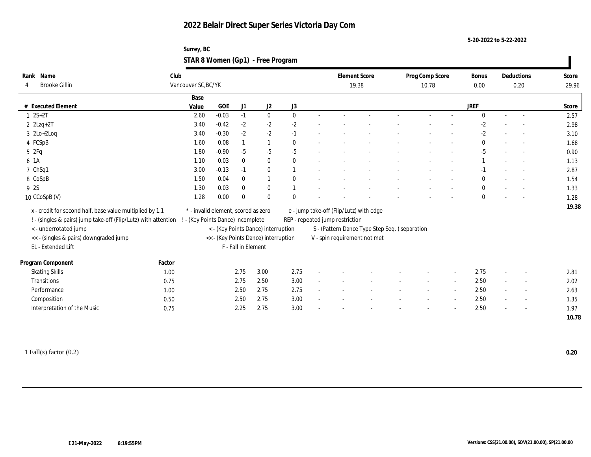**5-20-2022 to 5-22-2022**

| Surrey, BC                        |  |
|-----------------------------------|--|
| STAR 8 Women (Gp1) - Free Program |  |

| Name<br>Rank                                                   | Club   |                                     |            |                     |                                      |              |                                         | <b>Element Score</b>                           | Prog Comp Score | Bonus        |        | Deductions               | Score |
|----------------------------------------------------------------|--------|-------------------------------------|------------|---------------------|--------------------------------------|--------------|-----------------------------------------|------------------------------------------------|-----------------|--------------|--------|--------------------------|-------|
| <b>Brooke Gillin</b>                                           |        | Vancouver SC, BC/YK                 |            |                     |                                      |              |                                         | 19.38                                          | 10.78           | 0.00         |        | 0.20                     | 29.96 |
|                                                                |        | Base                                |            |                     |                                      |              |                                         |                                                |                 |              |        |                          |       |
| # Executed Element                                             |        | Value                               | <b>GOE</b> | J1                  | J <sub>2</sub>                       | J3           |                                         |                                                |                 | <b>JREF</b>  |        |                          | Score |
| $1 \ 2S + 2T$                                                  |        | 2.60                                | $-0.03$    | $-1$                | $\bf{0}$                             | $\mathbf{0}$ |                                         |                                                |                 | $\mathbf{0}$ | $\sim$ |                          | 2.57  |
| $2$ $2$ Lzq+2T                                                 |        | 3.40                                | $-0.42$    | $-2$                | $-2$                                 | $-2$         |                                         |                                                |                 | $-2$         |        |                          | 2.98  |
| $3 \text{ } 2\text{Lo}+2\text{Log}$                            |        | 3.40                                | $-0.30$    | $-2$                | $-2$                                 | $-1$         |                                         |                                                |                 | $-2$         |        |                          | 3.10  |
| 4 FCSpB                                                        |        | 1.60                                | 0.08       |                     | $\mathbf{1}$                         | $\mathbf{0}$ |                                         |                                                |                 | $\mathbf{0}$ |        |                          | 1.68  |
| 5 2Fq                                                          |        | 1.80                                | $-0.90$    | $-5$                | $-5$                                 | $-5$         |                                         |                                                |                 | $-5$         |        |                          | 0.90  |
| 6 1A                                                           |        | 1.10                                | 0.03       | $\mathbf{0}$        | $\bf{0}$                             | $\theta$     |                                         |                                                |                 |              |        |                          | 1.13  |
| 7 ChSq1                                                        |        | 3.00                                | $-0.13$    | $-1$                | $\bf{0}$                             |              |                                         |                                                |                 |              |        |                          | 2.87  |
| 8 CoSpB                                                        |        | 1.50                                | 0.04       | $\mathbf{0}$        | 1                                    | $\Omega$     |                                         |                                                |                 | $\mathbf{0}$ |        |                          | 1.54  |
| 9 2S                                                           |        | 1.30                                | 0.03       | $\mathbf{0}$        | $\bf{0}$                             |              |                                         |                                                |                 | $\mathbf{0}$ |        |                          | 1.33  |
| 10 CCoSpB (V)                                                  |        | 1.28                                | 0.00       | $\Omega$            | $\bf{0}$                             |              |                                         |                                                |                 | $\mathbf{0}$ |        |                          | 1.28  |
| x - credit for second half, base value multiplied by 1.1       |        | * - invalid element, scored as zero |            |                     |                                      |              | e - jump take-off (Flip/Lutz) with edge |                                                |                 |              |        |                          | 19.38 |
| ! - (singles & pairs) jump take-off (Flip/Lutz) with attention |        | ! - (Key Points Dance) incomplete   |            |                     |                                      |              | REP - repeated jump restriction         |                                                |                 |              |        |                          |       |
| < - underrotated jump                                          |        |                                     |            |                     | < - (Key Points Dance) interruption  |              |                                         | S - (Pattern Dance Type Step Seq. ) separation |                 |              |        |                          |       |
| << - (singles & pairs) downgraded jump                         |        |                                     |            |                     | << - (Key Points Dance) interruption |              |                                         | V - spin requirement not met                   |                 |              |        |                          |       |
| EL - Extended Lift                                             |        |                                     |            | F - Fall in Element |                                      |              |                                         |                                                |                 |              |        |                          |       |
|                                                                |        |                                     |            |                     |                                      |              |                                         |                                                |                 |              |        |                          |       |
| Program Component                                              | Factor |                                     |            |                     |                                      |              |                                         |                                                |                 |              |        |                          |       |
| <b>Skating Skills</b>                                          | 1.00   |                                     |            | 2.75                | 3.00                                 | 2.75         |                                         |                                                |                 | 2.75         | $\sim$ |                          | 2.81  |
| Transitions                                                    | 0.75   |                                     |            | 2.75                | 2.50                                 | 3.00         |                                         |                                                |                 | 2.50         |        |                          | 2.02  |
| Performance                                                    | 1.00   |                                     |            | 2.50                | 2.75                                 | 2.75         |                                         |                                                |                 | 2.50         |        | $\sim$                   | 2.63  |
| Composition                                                    | 0.50   |                                     |            | 2.50                | 2.75                                 | 3.00         |                                         |                                                |                 | 2.50         | $\sim$ | $\overline{\phantom{a}}$ | 1.35  |
| Interpretation of the Music                                    | 0.75   |                                     |            | 2.25                | 2.75                                 | 3.00         |                                         |                                                |                 | 2.50         |        |                          | 1.97  |
|                                                                |        |                                     |            |                     |                                      |              |                                         |                                                |                 |              |        |                          | 10.78 |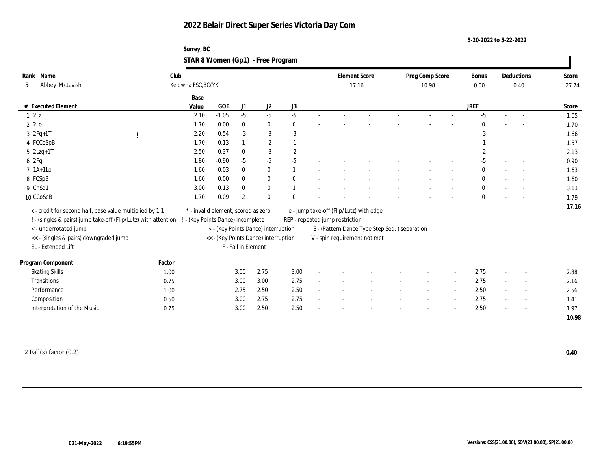**5-20-2022 to 5-22-2022**

| Surrey, BC                        |  |
|-----------------------------------|--|
| STAR 8 Women (Gp1) - Free Program |  |

| Name<br>Rank<br>Abbey Mctavish<br>5                                                                                                                                                                  | Club   | Kelowna FSC, BC/YK |              |                     |                                      |                                 |                                         | <b>Element Score</b><br>17.16                 | Prog Comp Score<br>10.98 | Bonus<br>0.00 |        | Deductions<br>0.40       | Score<br>27.74 |
|------------------------------------------------------------------------------------------------------------------------------------------------------------------------------------------------------|--------|--------------------|--------------|---------------------|--------------------------------------|---------------------------------|-----------------------------------------|-----------------------------------------------|--------------------------|---------------|--------|--------------------------|----------------|
|                                                                                                                                                                                                      |        | Base               |              |                     |                                      |                                 |                                         |                                               |                          |               |        |                          |                |
| # Executed Element                                                                                                                                                                                   |        | Value              | $_{\rm GOE}$ | J1                  | J2                                   | J3                              |                                         |                                               |                          | <b>JREF</b>   |        |                          | Score          |
| 12Lz                                                                                                                                                                                                 |        | 2.10               | $-1.05$      | $-5$                | $-5$                                 | $-5$                            |                                         |                                               |                          | $-5$          | $\sim$ |                          | 1.05           |
| 2 2Lo                                                                                                                                                                                                |        | 1.70               | 0.00         | $\bf{0}$            | $\bf{0}$                             | $\bf{0}$                        |                                         |                                               |                          |               |        |                          | 1.70           |
| $3 \t2Fq+1T$                                                                                                                                                                                         |        | 2.20               | $-0.54$      | $-3$                | $-3$                                 | $-3$                            |                                         |                                               |                          | $-3$          |        |                          | 1.66           |
| 4 FCCoSpB                                                                                                                                                                                            |        | 1.70               | $-0.13$      |                     | $-2$                                 | $-1$                            |                                         |                                               |                          | $-1$          | $\sim$ |                          | 1.57           |
| $5$ $2Lzq+1T$                                                                                                                                                                                        |        | 2.50               | $-0.37$      | $\bf{0}$            | $-3$                                 | $-2$                            |                                         |                                               |                          | $-2$          |        |                          | 2.13           |
| 6 2Fq                                                                                                                                                                                                |        | 1.80               | $-0.90$      | $-5$                | $-5$                                 | $-5$                            |                                         |                                               |                          | $-5$          |        |                          | 0.90           |
| $7$ 1A+1Lo                                                                                                                                                                                           |        | 1.60               | 0.03         | $\mathbf{0}$        | $\bf{0}$                             |                                 |                                         |                                               |                          | $\bf{0}$      |        |                          | 1.63           |
| 8 FCSpB                                                                                                                                                                                              |        | 1.60               | 0.00         | $\bf{0}$            | $\bf{0}$                             | $\bf{0}$                        |                                         |                                               |                          | $\bf{0}$      |        |                          | 1.60           |
| 9 ChSq1                                                                                                                                                                                              |        | 3.00               | 0.13         | $\mathbf{0}$        | $\bf{0}$                             |                                 |                                         |                                               |                          | $\mathbf{0}$  |        |                          | 3.13           |
| 10 CCoSpB                                                                                                                                                                                            |        | 1.70               | 0.09         | $\overline{2}$      | $\mathbf{0}$                         | $\theta$                        |                                         |                                               |                          | $\mathbf{0}$  |        |                          | 1.79           |
| x - credit for second half, base value multiplied by 1.1<br>* - invalid element, scored as zero<br>! - (singles & pairs) jump take-off (Flip/Lutz) with attention<br>- (Key Points Dance) incomplete |        |                    |              |                     |                                      | REP - repeated jump restriction | e - jump take-off (Flip/Lutz) with edge |                                               |                          |               |        | 17.16                    |                |
| < - underrotated jump                                                                                                                                                                                |        |                    |              |                     | < - (Key Points Dance) interruption  |                                 |                                         | S - (Pattern Dance Type Step Seq.) separation |                          |               |        |                          |                |
| << - (singles & pairs) downgraded jump<br>EL - Extended Lift                                                                                                                                         |        |                    |              | F - Fall in Element | << - (Key Points Dance) interruption |                                 |                                         | V - spin requirement not met                  |                          |               |        |                          |                |
| Program Component                                                                                                                                                                                    | Factor |                    |              |                     |                                      |                                 |                                         |                                               |                          |               |        |                          |                |
| <b>Skating Skills</b>                                                                                                                                                                                | 1.00   |                    |              | 3.00                | 2.75                                 | 3.00                            |                                         |                                               |                          | 2.75          |        |                          | 2.88           |
| <b>Transitions</b>                                                                                                                                                                                   | 0.75   |                    |              | 3.00                | 3.00                                 | 2.75                            |                                         |                                               |                          | 2.75          |        |                          | 2.16           |
| Performance                                                                                                                                                                                          | 1.00   |                    |              | 2.75                | 2.50                                 | 2.50                            |                                         |                                               |                          | 2.50          |        | $\overline{\phantom{a}}$ | 2.56           |
| Composition                                                                                                                                                                                          | 0.50   |                    |              | 3.00                | 2.75                                 | 2.75                            |                                         |                                               |                          | 2.75          | $\sim$ | $\sim$                   | 1.41           |
| Interpretation of the Music                                                                                                                                                                          | 0.75   |                    |              | 3.00                | 2.50                                 | 2.50                            |                                         |                                               |                          | 2.50          |        |                          | 1.97           |
|                                                                                                                                                                                                      |        |                    |              |                     |                                      |                                 |                                         |                                               |                          |               |        |                          | 10.98          |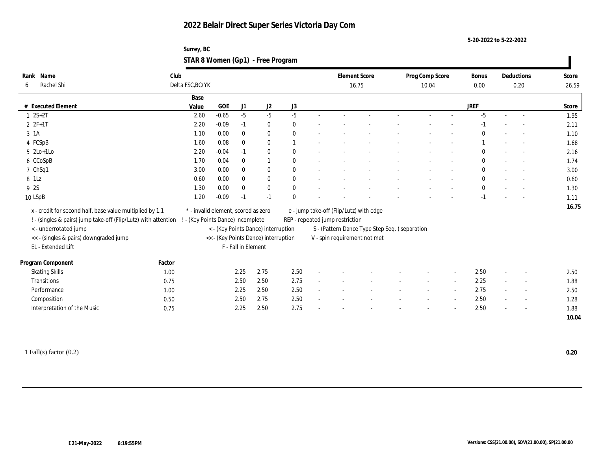**5-20-2022 to 5-22-2022**

| Surrey, BC                        |  |
|-----------------------------------|--|
| STAR 8 Women (Gp1) - Free Program |  |

| Rank Name                                                      | Club   |                                     |         |                     |                                      |                  |                                 | <b>Element Score</b>                          | Prog Comp Score | <b>Bonus</b> |                          | Deductions               | Score |
|----------------------------------------------------------------|--------|-------------------------------------|---------|---------------------|--------------------------------------|------------------|---------------------------------|-----------------------------------------------|-----------------|--------------|--------------------------|--------------------------|-------|
| Rachel Shi<br>6                                                |        | Delta FSC, BC/YK                    |         |                     |                                      |                  |                                 | 16.75                                         | 10.04           | 0.00         |                          | 0.20                     | 26.59 |
|                                                                |        | Base                                |         |                     |                                      |                  |                                 |                                               |                 |              |                          |                          |       |
| # Executed Element                                             |        | Value                               | GOE     | J1                  | $\mathrm{J}2$                        | $_{\mathrm{J}3}$ |                                 |                                               |                 | <b>JREF</b>  |                          |                          | Score |
| $1 \ 2S + 2T$                                                  |        | 2.60                                | $-0.65$ | $-5$                | $-5$                                 | $-5$             |                                 |                                               |                 | $-5$         | $\sim$                   | $\overline{\phantom{a}}$ | 1.95  |
| $22F+1T$                                                       |        | 2.20                                | $-0.09$ | $-1$                | $\bf{0}$                             | $\bf{0}$         |                                 |                                               |                 |              |                          |                          | 2.11  |
| 3 1A                                                           |        | 1.10                                | 0.00    | $\mathbf{0}$        | $\bf{0}$                             | $\mathbf{0}$     |                                 |                                               |                 | $\theta$     |                          |                          | 1.10  |
| 4 FCSpB                                                        |        | 1.60                                | 0.08    | $\bf{0}$            | $\bf{0}$                             |                  |                                 |                                               |                 |              |                          |                          | 1.68  |
| $5 \text{2Lo+1Lo}$                                             |        | 2.20                                | $-0.04$ | $-1$                | $\bf{0}$                             | $\theta$         |                                 |                                               |                 | $\mathbf{0}$ |                          |                          | 2.16  |
| 6 CCoSpB                                                       |        | 1.70                                | 0.04    | $\bf{0}$            | 1                                    | $\mathbf{0}$     |                                 |                                               |                 | $\bf{0}$     |                          |                          | 1.74  |
| 7 ChSq1                                                        |        | 3.00                                | 0.00    | $\bf{0}$            | $\bf{0}$                             | $\mathbf{0}$     |                                 |                                               |                 | $\bf{0}$     |                          |                          | 3.00  |
| 8 1Lz                                                          |        | 0.60                                | 0.00    | $\mathbf{0}$        | $\bf{0}$                             | $\mathbf{0}$     |                                 |                                               |                 | $\bf{0}$     |                          |                          | 0.60  |
| 9 2S                                                           |        | 1.30                                | 0.00    | $\bf{0}$            | $\bf{0}$                             | $\mathbf{0}$     |                                 |                                               |                 | $\bf{0}$     |                          |                          | 1.30  |
| 10 LSpB                                                        |        | 1.20                                | $-0.09$ | $-1$                | $-1$                                 | $\Omega$         |                                 |                                               |                 | $-1$         |                          |                          | 1.11  |
| x - credit for second half, base value multiplied by 1.1       |        | * - invalid element, scored as zero |         |                     |                                      |                  |                                 | e - jump take-off (Flip/Lutz) with edge       |                 |              |                          |                          | 16.75 |
| ! - (singles & pairs) jump take-off (Flip/Lutz) with attention |        | ! - (Key Points Dance) incomplete   |         |                     |                                      |                  | REP - repeated jump restriction |                                               |                 |              |                          |                          |       |
| < - underrotated jump                                          |        |                                     |         |                     | < - (Key Points Dance) interruption  |                  |                                 | S - (Pattern Dance Type Step Seq.) separation |                 |              |                          |                          |       |
| << - (singles & pairs) downgraded jump                         |        |                                     |         |                     | << - (Key Points Dance) interruption |                  |                                 | V - spin requirement not met                  |                 |              |                          |                          |       |
| EL - Extended Lift                                             |        |                                     |         | F - Fall in Element |                                      |                  |                                 |                                               |                 |              |                          |                          |       |
|                                                                |        |                                     |         |                     |                                      |                  |                                 |                                               |                 |              |                          |                          |       |
| Program Component                                              | Factor |                                     |         |                     |                                      |                  |                                 |                                               |                 |              |                          |                          |       |
| <b>Skating Skills</b>                                          | 1.00   |                                     |         | 2.25                | 2.75                                 | 2.50             |                                 |                                               |                 | 2.50         | $\sim$                   |                          | 2.50  |
| Transitions                                                    | 0.75   |                                     |         | 2.50                | 2.50                                 | 2.75             |                                 |                                               |                 | 2.25         |                          |                          | 1.88  |
| Performance                                                    | 1.00   |                                     |         | 2.25                | 2.50                                 | 2.50             |                                 |                                               |                 | 2.75         |                          | $\overline{\phantom{a}}$ | 2.50  |
| Composition                                                    | 0.50   |                                     |         | 2.50                | 2.75                                 | 2.50             |                                 |                                               |                 | 2.50         | $\overline{\phantom{a}}$ | $\sim$                   | 1.28  |
| Interpretation of the Music                                    | 0.75   |                                     |         | 2.25                | 2.50                                 | 2.75             |                                 |                                               |                 | 2.50         |                          |                          | 1.88  |
|                                                                |        |                                     |         |                     |                                      |                  |                                 |                                               |                 |              |                          |                          | 10.04 |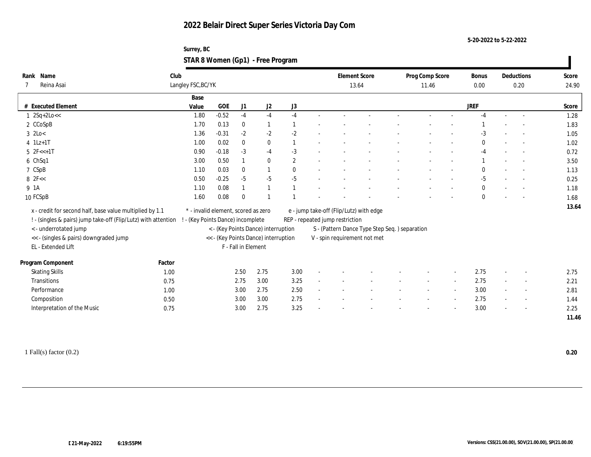**5-20-2022 to 5-22-2022**

| Surrey, BC                        |  |
|-----------------------------------|--|
| STAR 8 Women (Gp1) - Free Program |  |

| Name<br>Rank                                                   | Club   |                                     |         |                     |                                      |                |                                 | <b>Element Score</b>                           | Prog Comp Score | Bonus        |        | Deductions               | Score |
|----------------------------------------------------------------|--------|-------------------------------------|---------|---------------------|--------------------------------------|----------------|---------------------------------|------------------------------------------------|-----------------|--------------|--------|--------------------------|-------|
| Reina Asai                                                     |        | Langley FSC, BC/YK                  |         |                     |                                      |                |                                 | 13.64                                          | 11.46           | 0.00         |        | 0.20                     | 24.90 |
|                                                                |        | Base                                |         |                     |                                      |                |                                 |                                                |                 |              |        |                          |       |
| # Executed Element                                             |        | Value                               | GOE     | J1                  | J2                                   | J3             |                                 |                                                |                 | <b>JREF</b>  |        |                          | Score |
| $1 \, 2Sq+2Lo <<$                                              |        | 1.80                                | $-0.52$ | $-4$                | $-4$                                 | $-4$           |                                 |                                                |                 | $-4$         | $\sim$ |                          | 1.28  |
| 2 CCoSpB                                                       |        | 1.70                                | 0.13    | $\bf{0}$            | 1                                    |                |                                 |                                                |                 |              |        |                          | 1.83  |
| $3$ 2Lo $<$                                                    |        | 1.36                                | $-0.31$ | $-2$                | $-2$                                 | $-2$           |                                 |                                                |                 | $-3$         |        |                          | 1.05  |
| $4$ 1Lz+1T                                                     |        | 1.00                                | 0.02    | $\bf{0}$            | $\bf{0}$                             |                |                                 |                                                |                 | $\bf{0}$     |        |                          | 1.02  |
| $5 \text{ } 2F < +1T$                                          |        | 0.90                                | $-0.18$ | $-3$                | $-4$                                 | $-3$           |                                 |                                                |                 | $-4$         |        |                          | 0.72  |
| 6 ChSq1                                                        |        | 3.00                                | 0.50    |                     | $\bf{0}$                             | $\overline{2}$ |                                 |                                                |                 |              |        |                          | 3.50  |
| 7 CSpB                                                         |        | 1.10                                | 0.03    | $\bf{0}$            |                                      | $\Omega$       |                                 |                                                |                 | $\mathbf{0}$ |        |                          | 1.13  |
| $8$ 2F $<$                                                     |        | 0.50                                | $-0.25$ | $-5$                | $-5$                                 | $-5$           |                                 |                                                |                 | $-5$         |        |                          | 0.25  |
| 9 1A                                                           |        | 1.10                                | 0.08    |                     |                                      |                |                                 |                                                |                 | $\mathbf{0}$ |        |                          | 1.18  |
| 10 FCSpB                                                       |        | 1.60                                | 0.08    | $\Omega$            |                                      |                |                                 |                                                |                 | $\mathbf{0}$ |        |                          | 1.68  |
| x - credit for second half, base value multiplied by 1.1       |        | * - invalid element, scored as zero |         |                     |                                      |                |                                 | e - jump take-off (Flip/Lutz) with edge        |                 |              |        |                          | 13.64 |
| ! - (singles & pairs) jump take-off (Flip/Lutz) with attention |        | ! - (Key Points Dance) incomplete   |         |                     |                                      |                | REP - repeated jump restriction |                                                |                 |              |        |                          |       |
| < - underrotated jump                                          |        |                                     |         |                     | < - (Key Points Dance) interruption  |                |                                 | S - (Pattern Dance Type Step Seq. ) separation |                 |              |        |                          |       |
| << - (singles & pairs) downgraded jump                         |        |                                     |         |                     | << - (Key Points Dance) interruption |                |                                 | V - spin requirement not met                   |                 |              |        |                          |       |
| EL - Extended Lift                                             |        |                                     |         | F - Fall in Element |                                      |                |                                 |                                                |                 |              |        |                          |       |
|                                                                |        |                                     |         |                     |                                      |                |                                 |                                                |                 |              |        |                          |       |
| Program Component                                              | Factor |                                     |         |                     |                                      |                |                                 |                                                |                 |              |        |                          |       |
| <b>Skating Skills</b>                                          | 1.00   |                                     |         | 2.50                | 2.75                                 | 3.00           |                                 |                                                |                 | 2.75         |        |                          | 2.75  |
| Transitions                                                    | 0.75   |                                     |         | 2.75                | 3.00                                 | 3.25           |                                 |                                                |                 | 2.75         |        |                          | 2.21  |
| Performance                                                    | 1.00   |                                     |         | 3.00                | 2.75                                 | 2.50           |                                 |                                                |                 | 3.00         | $\sim$ | $\sim$                   | 2.81  |
| Composition                                                    | 0.50   |                                     |         | 3.00                | 3.00                                 | 2.75           |                                 |                                                |                 | 2.75         | $\sim$ | $\overline{\phantom{a}}$ | 1.44  |
| Interpretation of the Music                                    | 0.75   |                                     |         | 3.00                | 2.75                                 | 3.25           |                                 |                                                |                 | 3.00         |        |                          | 2.25  |
|                                                                |        |                                     |         |                     |                                      |                |                                 |                                                |                 |              |        |                          | 11.46 |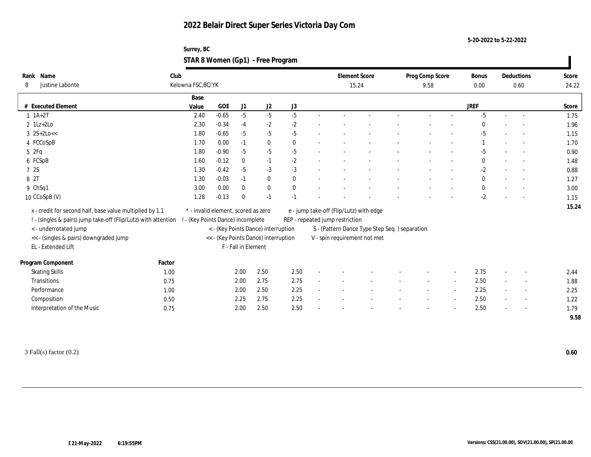**5-20-2022 to 5-22-2022**

| Surrey, BC                        |  |
|-----------------------------------|--|
| STAR 8 Women (Gp1) - Free Program |  |

| Name<br>Rank                                                   | Club   |                                     |              |                     |                                      |              |                                               | <b>Element Score</b> | Prog Comp Score | <b>Bonus</b> |                | Deductions               | Score |
|----------------------------------------------------------------|--------|-------------------------------------|--------------|---------------------|--------------------------------------|--------------|-----------------------------------------------|----------------------|-----------------|--------------|----------------|--------------------------|-------|
| Justine Labonte<br>8                                           |        | Kelowna FSC, BC/YK                  |              |                     |                                      |              |                                               | 15.24                | 9.58            | 0.00         |                | 0.60                     | 24.22 |
|                                                                |        | Base                                |              |                     |                                      |              |                                               |                      |                 |              |                |                          |       |
| # Executed Element                                             |        | Value                               | $_{\rm GOE}$ | J <sub>1</sub>      | J2                                   | J3           |                                               |                      |                 | <b>JREF</b>  |                |                          | Score |
| $1 \ 1A+2T$                                                    |        | 2.40                                | $-0.65$      | $-5$                | $-5$                                 | $-5$         |                                               |                      |                 | $-5$         | $\overline{a}$ |                          | 1.75  |
| $2$ 1Lz+2Lo                                                    |        | 2.30                                | $-0.34$      | $-4$                | $-2$                                 | $-2$         |                                               |                      |                 |              |                |                          | 1.96  |
| $3 \ 2S+2Lo <<$                                                |        | 1.80                                | $-0.65$      | $-5$                | $-5$                                 | $-5$         |                                               |                      |                 | $-5$         |                |                          | 1.15  |
| 4 FCCoSpB                                                      |        | 1.70                                | 0.00         | $-1$                | $\bf{0}$                             | $\mathbf{0}$ |                                               |                      |                 |              |                |                          | 1.70  |
| 52Fq                                                           |        | 1.80                                | $-0.90$      | $-5$                | $-5$                                 | $-5$         |                                               |                      |                 | $-5$         |                |                          | 0.90  |
| 6 FCSpB                                                        |        | 1.60                                | $-0.12$      | $\bf{0}$            | $-1$                                 | $-2$         |                                               |                      |                 | $\bf{0}$     |                |                          | 1.48  |
| 7 2S                                                           |        | 1.30                                | $-0.42$      | $-5$                | $-3$                                 | $-3$         |                                               |                      |                 | $-2$         |                |                          | 0.88  |
| 8 2T                                                           |        | 1.30                                | $-0.03$      | $-1$                | $\bf{0}$                             | $\mathbf{0}$ |                                               |                      |                 | $\bf{0}$     |                |                          | 1.27  |
| 9 ChSq1                                                        |        | 3.00                                | 0.00         | $\mathbf{0}$        | $\bf{0}$                             | $\mathbf{0}$ |                                               |                      |                 | $\bf{0}$     |                |                          | 3.00  |
| 10 CCoSpB (V)                                                  |        | 1.28                                | $-0.13$      | $\Omega$            | $-1$                                 | $-1$         |                                               |                      |                 | $-2$         |                |                          | 1.15  |
| x - credit for second half, base value multiplied by 1.1       |        | * - invalid element, scored as zero |              |                     |                                      |              | e - jump take-off (Flip/Lutz) with edge       |                      |                 |              |                |                          | 15.24 |
| ! - (singles & pairs) jump take-off (Flip/Lutz) with attention |        | ! - (Key Points Dance) incomplete   |              |                     |                                      |              | REP - repeated jump restriction               |                      |                 |              |                |                          |       |
| < - underrotated jump                                          |        |                                     |              |                     | < - (Key Points Dance) interruption  |              | S - (Pattern Dance Type Step Seq.) separation |                      |                 |              |                |                          |       |
| << - (singles & pairs) downgraded jump                         |        |                                     |              |                     | << - (Key Points Dance) interruption |              | V - spin requirement not met                  |                      |                 |              |                |                          |       |
| EL - Extended Lift                                             |        |                                     |              | F - Fall in Element |                                      |              |                                               |                      |                 |              |                |                          |       |
|                                                                |        |                                     |              |                     |                                      |              |                                               |                      |                 |              |                |                          |       |
| Program Component                                              | Factor |                                     |              |                     |                                      |              |                                               |                      |                 |              |                |                          |       |
| <b>Skating Skills</b>                                          | 1.00   |                                     |              | 2.00                | 2.50                                 | 2.50         |                                               |                      |                 | 2.75         | $\sim$         |                          | 2.44  |
| Transitions                                                    | 0.75   |                                     |              | 2.00                | 2.75                                 | 2.75         |                                               |                      |                 | 2.50         |                |                          | 1.88  |
| Performance                                                    | 1.00   |                                     |              | 2.00                | 2.50                                 | 2.25         |                                               |                      |                 | 2.25         |                | $\sim$                   | 2.25  |
| Composition                                                    | 0.50   |                                     |              | 2.25                | 2.75                                 | 2.25         |                                               |                      |                 | 2.50         | $\sim$         | $\overline{\phantom{a}}$ | 1.22  |
| Interpretation of the Music                                    | 0.75   |                                     |              | 2.00                | 2.50                                 | 2.50         |                                               |                      |                 | 2.50         |                |                          | 1.79  |
|                                                                |        |                                     |              |                     |                                      |              |                                               |                      |                 |              |                |                          | 9.58  |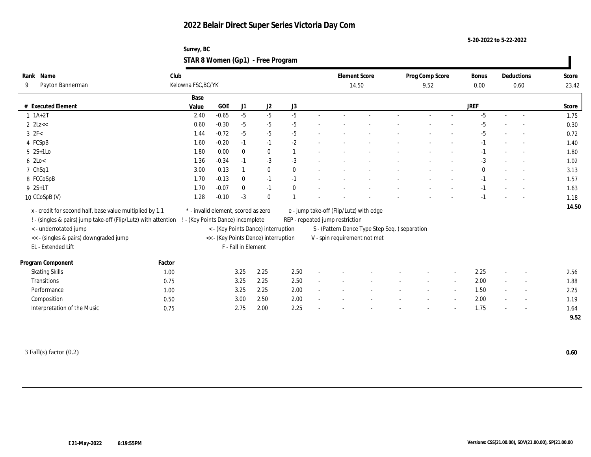**5-20-2022 to 5-22-2022**

| Surrey, BC                        |  |
|-----------------------------------|--|
| STAR 8 Women (Gp1) - Free Program |  |

| Name<br>Rank                                                   | Club   |                                   |                                     |                     |                                      |                  |                          |                                 | <b>Element Score</b>                          | Prog Comp Score |                | <b>Bonus</b> |        | Deductions               | Score |
|----------------------------------------------------------------|--------|-----------------------------------|-------------------------------------|---------------------|--------------------------------------|------------------|--------------------------|---------------------------------|-----------------------------------------------|-----------------|----------------|--------------|--------|--------------------------|-------|
| Payton Bannerman<br>9                                          |        | Kelowna FSC, BC/YK                |                                     |                     |                                      |                  |                          |                                 | 14.50                                         | 9.52            |                | 0.00         |        | 0.60                     | 23.42 |
|                                                                |        | Base                              |                                     |                     |                                      |                  |                          |                                 |                                               |                 |                |              |        |                          |       |
| # Executed Element                                             |        | Value                             | GOE                                 | J1                  | J2                                   | $_{\mathrm{J}3}$ |                          |                                 |                                               |                 |                | <b>JREF</b>  |        |                          | Score |
| $1 \t1A+2T$                                                    |        | 2.40                              | $-0.65$                             | $-5$                | $-5$                                 | $-5$             |                          |                                 |                                               |                 |                | $-5$         |        | $\sim$                   | 1.75  |
| $2$ $2$ Lz $<<$                                                |        | 0.60                              | $-0.30$                             | $-5$                | $-5$                                 | $-5$             |                          |                                 |                                               |                 |                | -5           |        |                          | 0.30  |
| $3 \text{ } 2F<$                                               |        | 1.44                              | $-0.72$                             | $-5$                | $-5$                                 | $-5$             |                          |                                 |                                               |                 |                | $-5$         |        |                          | 0.72  |
| 4 FCSpB                                                        |        | 1.60                              | $-0.20$                             | $-1$                | $-1$                                 | $-2$             |                          |                                 |                                               |                 |                | $-1$         |        |                          | 1.40  |
| $5 \quad 2S+1Lo$                                               |        | 1.80                              | 0.00                                | $\bf{0}$            | $\bf{0}$                             |                  |                          |                                 |                                               |                 |                | $-1$         |        |                          | 1.80  |
| $6$ 2Lo $<$                                                    |        | 1.36                              | $-0.34$                             | $-1$                | $-3$                                 | $-3$             |                          |                                 |                                               |                 |                | -3           |        |                          | 1.02  |
| 7 ChSq1                                                        |        | 3.00                              | 0.13                                |                     | $\bf{0}$                             | $\mathbf{0}$     |                          |                                 |                                               |                 |                | $\mathbf{0}$ |        | $\sim$                   | 3.13  |
| 8 FCCoSpB                                                      |        | 1.70                              | $-0.13$                             | $\bf{0}$            | $-1$                                 | $-1$             |                          |                                 |                                               |                 |                | $-1$         |        | $\sim$                   | 1.57  |
| $9 \t 2S+1T$                                                   |        | 1.70                              | $-0.07$                             | $\mathbf{0}$        | $-1$                                 | $\theta$         |                          |                                 |                                               |                 |                | $-1$         |        |                          | 1.63  |
| 10 CCoSpB (V)                                                  |        | 1.28                              | $-0.10$                             | $-3$                | $\mathbf{0}$                         |                  |                          |                                 |                                               |                 |                | $-1$         |        |                          | 1.18  |
| x - credit for second half, base value multiplied by 1.1       |        |                                   | * - invalid element, scored as zero |                     |                                      |                  |                          |                                 | e - jump take-off (Flip/Lutz) with edge       |                 |                |              |        |                          | 14.50 |
| ! - (singles & pairs) jump take-off (Flip/Lutz) with attention |        | ! - (Key Points Dance) incomplete |                                     |                     |                                      |                  |                          | REP - repeated jump restriction |                                               |                 |                |              |        |                          |       |
| <- underrotated jump                                           |        |                                   |                                     |                     | < - (Key Points Dance) interruption  |                  |                          |                                 | S - (Pattern Dance Type Step Seq.) separation |                 |                |              |        |                          |       |
|                                                                |        |                                   |                                     |                     | << - (Key Points Dance) interruption |                  |                          |                                 | V - spin requirement not met                  |                 |                |              |        |                          |       |
| << - (singles & pairs) downgraded jump<br>EL - Extended Lift   |        |                                   |                                     | F - Fall in Element |                                      |                  |                          |                                 |                                               |                 |                |              |        |                          |       |
|                                                                |        |                                   |                                     |                     |                                      |                  |                          |                                 |                                               |                 |                |              |        |                          |       |
| Program Component                                              | Factor |                                   |                                     |                     |                                      |                  |                          |                                 |                                               |                 |                |              |        |                          |       |
| <b>Skating Skills</b>                                          | 1.00   |                                   |                                     | 3.25                | 2.25                                 | 2.50             | $\overline{\phantom{a}}$ |                                 |                                               |                 |                | 2.25         | $\sim$ | $\overline{\phantom{a}}$ | 2.56  |
| Transitions                                                    | 0.75   |                                   |                                     | 3.25                | 2.25                                 | 2.50             |                          |                                 |                                               |                 |                | 2.00         |        | $\overline{\phantom{a}}$ | 1.88  |
| Performance                                                    | 1.00   |                                   |                                     | 3.25                | 2.25                                 | 2.00             | $\sim$                   |                                 |                                               |                 | $\overline{a}$ | 1.50         |        | $\overline{\phantom{a}}$ | 2.25  |
| Composition                                                    | 0.50   |                                   |                                     | 3.00                | 2.50                                 | 2.00             |                          |                                 |                                               |                 | $\overline{a}$ | 2.00         |        | $\sim$                   | 1.19  |
| Interpretation of the Music                                    | 0.75   |                                   |                                     | 2.75                | 2.00                                 | 2.25             |                          |                                 |                                               |                 |                | 1.75         |        | $\overline{\phantom{a}}$ | 1.64  |
|                                                                |        |                                   |                                     |                     |                                      |                  |                          |                                 |                                               |                 |                |              |        |                          | 9.52  |